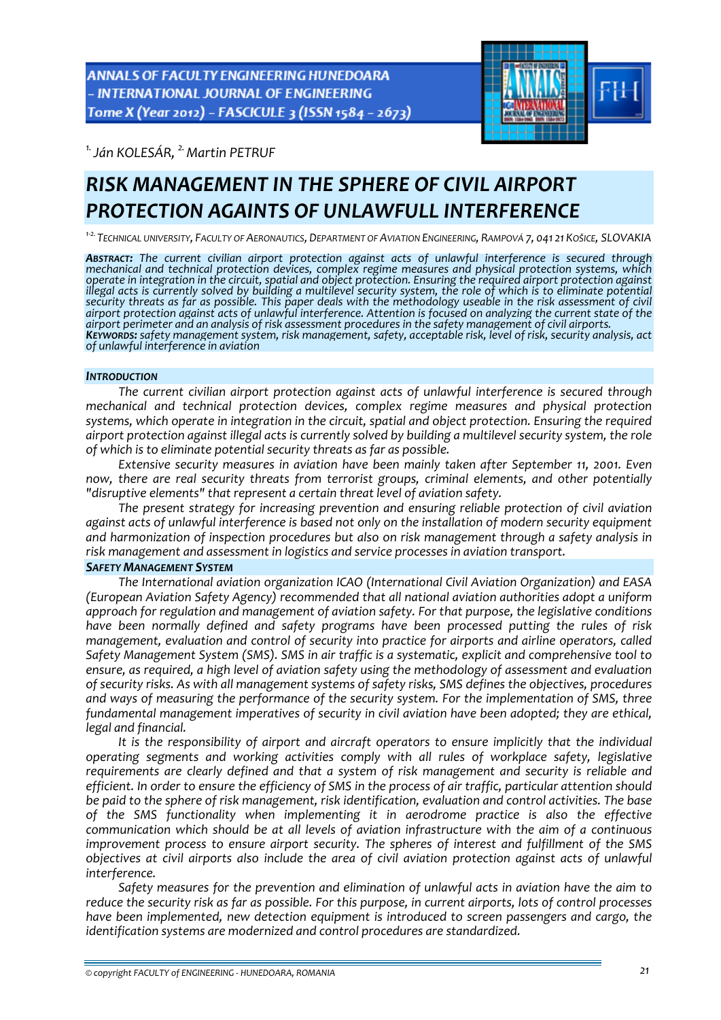ANNALS OF FACULTY ENGINEERING HUNEDOARA - INTERNATIONAL JOURNAL OF ENGINEERING Tome X (Year 2012) - FASCICULE 3 (ISSN 1584 - 2673)



*1.Ján KOLESÁR, 2.Martin PETRUF* 

# *RISK MANAGEMENT IN THE SPHERE OF CIVIL AIRPORT PROTECTION AGAINTS OF UNLAWFULL INTERFERENCE*

<sup>1-2.</sup> Technical University, Faculty of Aeronautics, Department of Aviation Engineering, Rampová 7, 041 21 Košice, SLOVAKIA

ABSTRACT: The current civilian airport protection against acts of unlawful interference is secured through mechanical and technical protection devices, complex regime measures and physical protection systems, which operate in integration in the circuit, spatial and object protection. Ensuring the required airport protection against<br>illegal acts is currently solved by building a multilevel security system, the role of which is to elim security threats as far as possible. This paper deals with the methodology useable in the risk assessment of civil airport protection against acts of unlawful interference. Attention is focused on analyzing the current state of the<br>airport perimeter and an analysis of risk assessment procedures in the safety management of civil airport KEYWORDS: safety management system, risk management, safety, acceptable risk, level of risk, security analysis, act *of unlawful interference in aviation*

#### *INTRODUCTION*

*The current civilian airport protection against acts of unlawful interference is secured through mechanical and technical protection devices, complex regime measures and physical protection systems, which operate in integration in the circuit, spatial and object protection. Ensuring the required airport protection against illegal acts is currently solved by building a multilevel security system, the role of which is to eliminate potential security threats as far as possible.*

*Extensive security measures in aviation have been mainly taken after September 11, 2001. Even now, there are real security threats from terrorist groups, criminal elements, and other potentially "disruptive elements" that represent a certain threat level of aviation safety.*

*The present strategy for increasing prevention and ensuring reliable protection of civil aviation against acts of unlawful interference is based not only on the installation of modern security equipment and harmonization of inspection procedures but also on risk management through a safety analysis in risk management and assessment in logistics and service processes in aviation transport.*

## *SAFETY MANAGEMENT SYSTEM*

*The International aviation organization ICAO (International Civil Aviation Organization) and EASA (European Aviation Safety Agency) recommended that all national aviation authorities adopt a uniform approach for regulation and management of aviation safety. For that purpose, the legislative conditions have been normally defined and safety programs have been processed putting the rules of risk management, evaluation and control of security into practice for airports and airline operators, called Safety Management System (SMS). SMS in air traffic is a systematic, explicit and comprehensive tool to ensure, as required, a high level of aviation safety using the methodology of assessment and evaluation of security risks. As with all management systems of safety risks, SMS defines the objectives, procedures and ways of measuring the performance of the security system. For the implementation of SMS, three fundamental management imperatives of security in civil aviation have been adopted; they are ethical, legal and financial.* 

*It is the responsibility of airport and aircraft operators to ensure implicitly that the individual operating segments and working activities comply with all rules of workplace safety, legislative requirements are clearly defined and that a system of risk management and security is reliable and* efficient. In order to ensure the efficiency of SMS in the process of air traffic, particular attention should *be paid to the sphere of risk management, risk identification, evaluation and control activities. The base of the SMS functionality when implementing it in aerodrome practice is also the effective communication which should be at all levels of aviation infrastructure with the aim of a continuous improvement process to ensure airport security. The spheres of interest and fulfillment of the SMS objectives at civil airports also include the area of civil aviation protection against acts of unlawful interference.* 

*Safety measures for the prevention and elimination of unlawful acts in aviation have the aim to* reduce the security risk as far as possible. For this purpose, in current airports, lots of control processes *have been implemented, new detection equipment is introduced to screen passengers and cargo, the identification systems are modernized and control procedures are standardized.*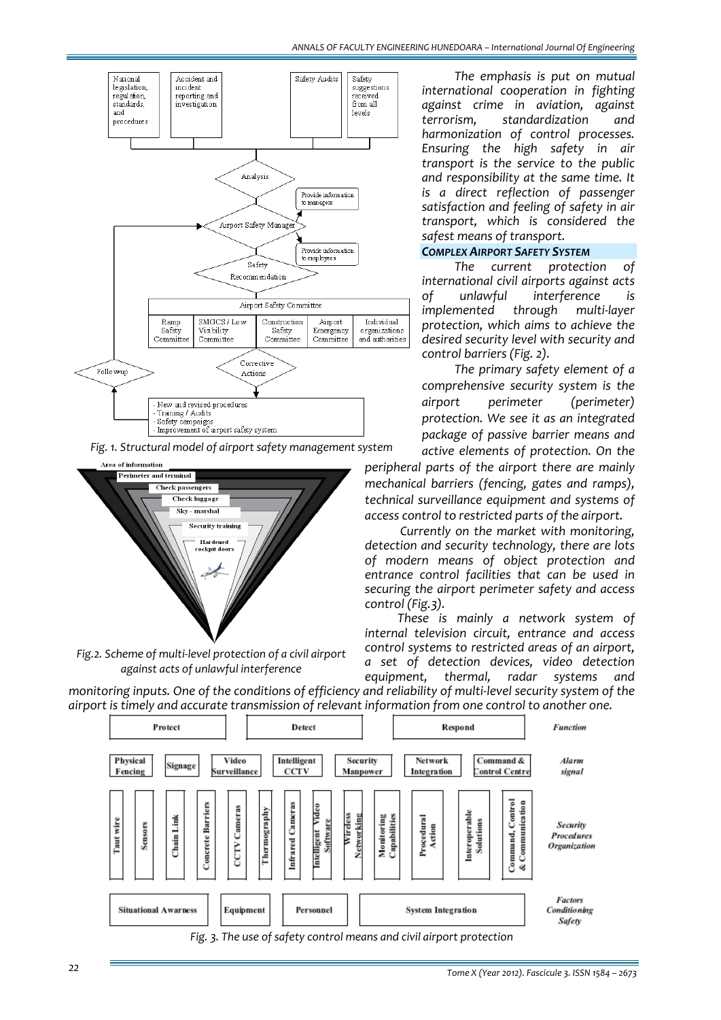

*Fig. 1. Structural model of airport safety management system*



*Fig.2. Scheme of multi‐level protection of a civil airport against acts of unlawful interference*

*The emphasis is put on mutual international cooperation in fighting against crime in aviation, against terrorism, standardization and harmonization of control processes. Ensuring the high safety in air transport is the service to the public and responsibility at the same time. It is a direct reflection of passenger satisfaction and feeling of safety in air transport, which is considered the safest means of transport.*

### *COMPLEX AIRPORT SAFETY SYSTEM*

*The current protection of international civil airports against acts of unlawful interference is implemented through multi‐layer protection, which aims to achieve the desired security level with security and control barriers (Fig. 2).*

*The primary safety element of a comprehensive security system is the airport perimeter (perimeter) protection. We see it as an integrated package of passive barrier means and active elements of protection. On the*

*peripheral parts of the airport there are mainly mechanical barriers (fencing, gates and ramps), technical surveillance equipment and systems of access control to restricted parts of the airport.*

*Currently on the market with monitoring, detection and security technology, there are lots of modern means of object protection and entrance control facilities that can be used in securing the airport perimeter safety and access control (Fig.3).*

*These is mainly a network system of internal television circuit, entrance and access control systems to restricted areas of an airport, a set of detection devices, video detection equipment, thermal, radar systems and*

monitoring inputs. One of the conditions of efficiency and reliability of multi-level security system of the *airport is timely and accurate transmission of relevant information from one control to another one.*



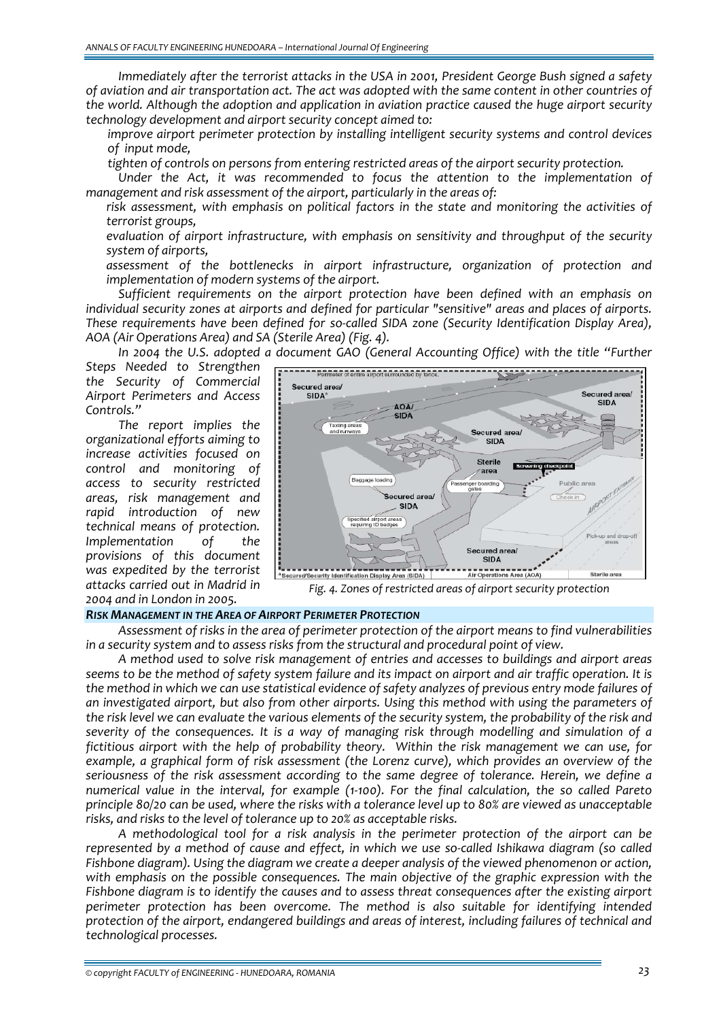*Immediately after the terrorist attacks in the USA in 2001, President George Bush signed a safety* of aviation and air transportation act. The act was adopted with the same content in other countries of *the world. Although the adoption and application in aviation practice caused the huge airport security technology development and airport security concept aimed to:*

 *improve airport perimeter protection by installing intelligent security systems and control devices*  $of$  *input mode*.

*tighten of controls on persons from entering restricted areas of the airport security protection.*

*Under the Act, it was recommended to focus the attention to the implementation of management and risk assessment of the airport, particularly in the areas of:*

 *risk assessment, with emphasis on political factors in the state and monitoring the activities of terrorist groups,*

 *evaluation of airport infrastructure, with emphasis on sensitivity and throughput of the security system of airports,*

 *assessment of the bottlenecks in airport infrastructure, organization of protection and implementation of modern systems of the airport.*

*Sufficient requirements on the airport protection have been defined with an emphasis on individual security zones at airports and defined for particular "sensitive" areas and places of airports. These requirements have been defined for so‐called SIDA zone (Security Identification Display Area), AOA (Air Operations Area) and SA (Sterile Area) (Fig. 4).*

*In 2004 the U.S. adopted a document GAO (General Accounting Office) with the title "Further*

*Steps Needed to Strengthen the Security of Commercial Airport Perimeters and Access Controls."* 

*The report implies the organizational efforts aiming to increase activities focused on control and monitoring of access to security restricted areas, risk management and rapid introduction of new technical means of protection. Implementation of the provisions of this document was expedited by the terrorist attacks carried out in Madrid in 2004 and in London in 2005.*



*Fig. 4. Zones of restricted areas of airport security protection*

#### *RISK MANAGEMENT IN THE AREA OF AIRPORT PERIMETER PROTECTION*

*Assessment of risks in the area of perimeter protection of the airport means to find vulnerabilities in a security system and to assess risks from the structural and procedural point of view.*

*A method used to solve risk management of entries and accesses to buildings and airport areas* seems to be the method of safety system failure and its impact on airport and air traffic operation. It is the method in which we can use statistical evidence of safety analyzes of previous entry mode failures of *an investigated airport, but also from other airports. Using this method with using the parameters of* the risk level we can evaluate the various elements of the security system, the probability of the risk and *severity of the consequences. It is a way of managing risk through modelling and simulation of a fictitious airport with the help of probability theory. Within the risk management we can use, for example, a graphical form of risk assessment (the Lorenz curve), which provides an overview of the seriousness of the risk assessment according to the same degree of tolerance. Herein, we define a* numerical value in the interval, for example (1-100). For the final calculation, the so called Pareto principle 80/20 can be used, where the risks with a tolerance level up to 80% are viewed as unacceptable *risks, and risks to the level of tolerance up to 20% as acceptable risks.* 

*A methodological tool for a risk analysis in the perimeter protection of the airport can be* represented by a method of cause and effect, in which we use so-called Ishikawa diagram (so called *Fishbone diagram). Using the diagram we create a deeper analysis of the viewed phenomenon or action, with emphasis on the possible consequences. The main objective of the graphic expression with the Fishbone diagram is to identify the causes and to assess threat consequences after the existing airport perimeter protection has been overcome. The method is also suitable for identifying intended protection of the airport, endangered buildings and areas of interest, including failures of technical and technological processes.*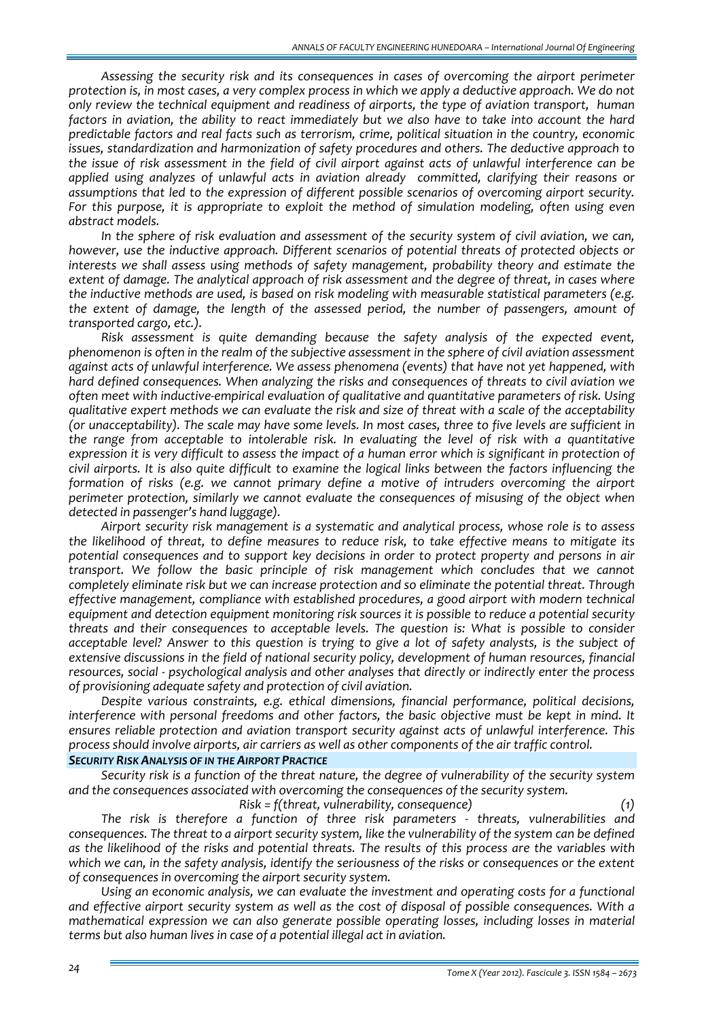*Assessing the security risk and its consequences in cases of overcoming the airport perimeter* protection is, in most cases, a very complex process in which we apply a deductive approach. We do not *only review the technical equipment and readiness of airports, the type of aviation transport, human* factors in aviation, the ability to react immediately but we also have to take into account the hard *predictable factors and real facts such as terrorism, crime, political situation in the country, economic issues, standardization and harmonization of safety procedures and others. The deductive approach to* the issue of risk assessment in the field of civil airport against acts of unlawful interference can be *applied using analyzes of unlawful acts in aviation already committed, clarifying their reasons or assumptions that led to the expression of different possible scenarios of overcoming airport security. For this purpose, it is appropriate to exploit the method of simulation modeling, often using even abstract models.* 

*In the sphere of risk evaluation and assessment of the security system of civil aviation, we can, however, use the inductive approach. Different scenarios of potential threats of protected objects or interests we shall assess using methods of safety management, probability theory and estimate the extent of damage. The analytical approach of risk assessment and the degree of threat, in cases where the inductive methods are used, is based on risk modeling with measurable statistical parameters (e.g. the extent of damage, the length of the assessed period, the number of passengers, amount of transported cargo, etc.).*

*Risk assessment is quite demanding because the safety analysis of the expected event, phenomenon is often in the realm of the subjective assessment in the sphere of civil aviation assessment against acts of unlawful interference. We assess phenomena (events) that have not yet happened, with hard defined consequences. When analyzing the risks and consequences of threats to civil aviation we often meet with inductive‐empirical evaluation of qualitative and quantitative parameters of risk. Using* qualitative expert methods we can evaluate the risk and size of threat with a scale of the acceptability (or unacceptability). The scale may have some levels. In most cases, three to five levels are sufficient in *the range from acceptable to intolerable risk. In evaluating the level of risk with a quantitative* expression it is very difficult to assess the impact of a human error which is significant in protection of civil airports. It is also quite difficult to examine the logical links between the factors influencing the *formation of risks (e.g. we cannot primary define a motive of intruders overcoming the airport perimeter protection, similarly we cannot evaluate the consequences of misusing of the object when detected in passenger's hand luggage).* 

*Airport security risk management is a systematic and analytical process, whose role is to assess the likelihood of threat, to define measures to reduce risk, to take effective means to mitigate its potential consequences and to support key decisions in order to protect property and persons in air transport. We follow the basic principle of risk management which concludes that we cannot completely eliminate risk but we can increase protection and so eliminate the potential threat. Through effective management, compliance with established procedures, a good airport with modern technical equipment and detection equipment monitoring risk sources it is possible to reduce a potential security threats and their consequences to acceptable levels. The question is: What is possible to consider* acceptable level? Answer to this question is trying to give a lot of safety analysts, is the subject of *extensive discussions in the field of national security policy, development of human resources, financial resources, social ‐ psychological analysis and other analyses that directly or indirectly enter the process of provisioning adequate safety and protection of civil aviation.*

*Despite various constraints, e.g. ethical dimensions, financial performance, political decisions, interference with personal freedoms and other factors, the basic objective must be kept in mind. It ensures reliable protection and aviation transport security against acts of unlawful interference. This process should involve airports, air carriers as well as other components of the air traffic control.*

## *SECURITY RISK ANALYSIS OF IN THE AIRPORT PRACTICE*

*Security risk is a function of the threat nature, the degree of vulnerability of the security system and the consequences associated with overcoming the consequences of the security system.*

*Risk = f(threat, vulnerability, consequence) (1) The risk is therefore a function of three risk parameters ‐ threats, vulnerabilities and* consequences. The threat to a airport security system, like the vulnerability of the system can be defined as the likelihood of the risks and potential threats. The results of this process are the variables with which we can, in the safety analysis, identify the seriousness of the risks or consequences or the extent *of consequences in overcoming the airport security system.*

*Using an economic analysis, we can evaluate the investment and operating costs for a functional and effective airport security system as well as the cost of disposal of possible consequences. With a mathematical expression we can also generate possible operating losses, including losses in material terms but also human lives in case of a potential illegal act in aviation.*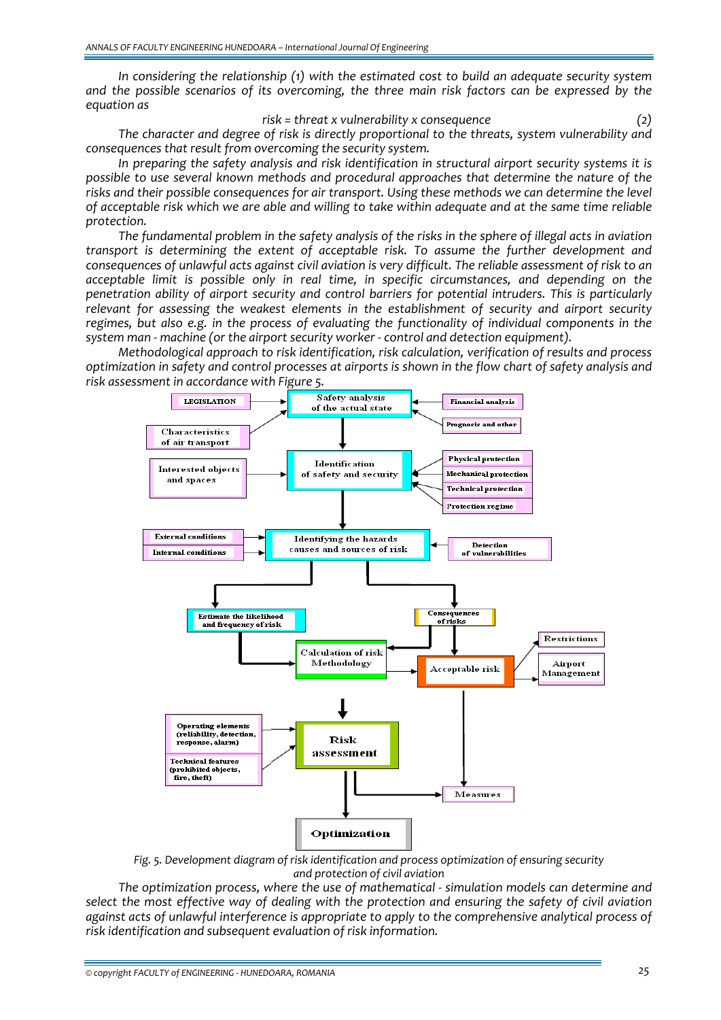*In considering the relationship (1) with the estimated cost to build an adequate security system and the possible scenarios of its overcoming, the three main risk factors can be expressed by the equation as*

*risk = threat x vulnerability x consequence (2)*

*The character and degree of risk is directly proportional to the threats, system vulnerability and consequences that result from overcoming the security system.* 

*In preparing the safety analysis and risk identification in structural airport security systems it is possible to use several known methods and procedural approaches that determine the nature of the risks and their possible consequences for air transport. Using these methods we can determine the level* of acceptable risk which we are able and willing to take within adequate and at the same time reliable *protection.*

The fundamental problem in the safety analysis of the risks in the sphere of illegal acts in aviation *transport is determining the extent of acceptable risk. To assume the further development and* consequences of unlawful acts against civil aviation is very difficult. The reliable assessment of risk to an *acceptable limit is possible only in real time, in specific circumstances, and depending on the penetration ability of airport security and control barriers for potential intruders. This is particularly relevant for assessing the weakest elements in the establishment of security and airport security regimes, but also e.g. in the process of evaluating the functionality of individual components in the system man ‐ machine (or the airport security worker ‐ control and detection equipment).*

*Methodological approach to risk identification, risk calculation, verification of results and process* optimization in safety and control processes at airports is shown in the flow chart of safety analysis and *risk assessment in accordance with Figure 5.*



*Fig. 5. Development diagram of risk identification and process optimization of ensuring security and protection of civil aviation*

*The optimization process, where the use of mathematical ‐ simulation models can determine and select the most effective way of dealing with the protection and ensuring the safety of civil aviation against acts of unlawful interference is appropriate to apply to the comprehensive analytical process of risk identification and subsequent evaluation of risk information.*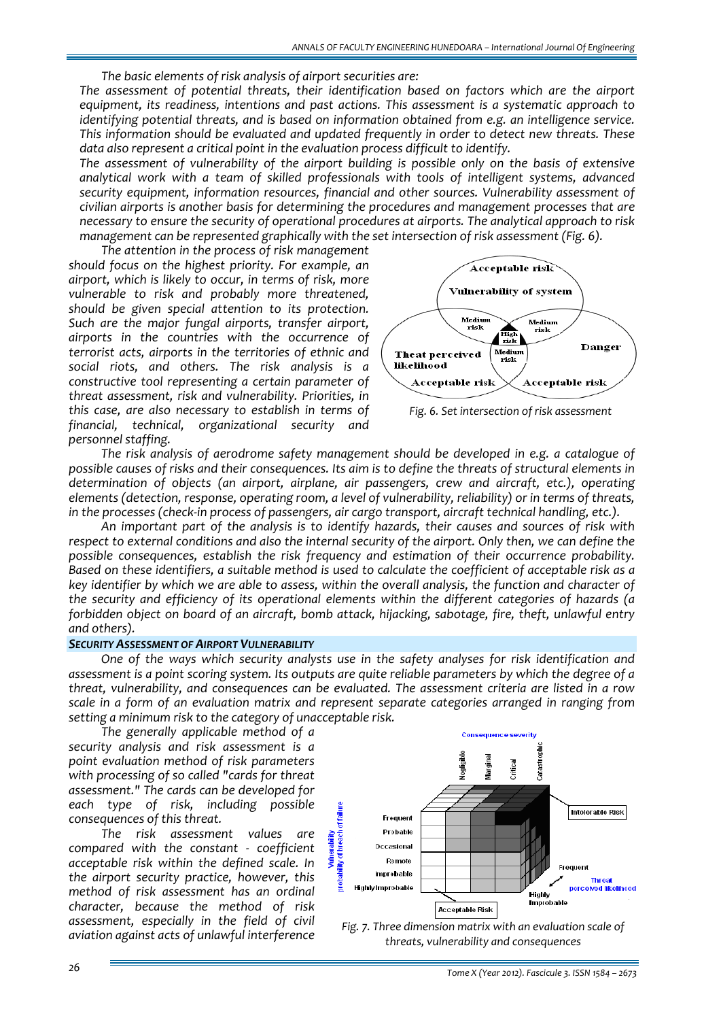*The basic elements of risk analysis of airport securities are:*

*The assessment of potential threats, their identification based on factors which are the airport equipment, its readiness, intentions and past actions. This assessment is a systematic approach to identifying potential threats, and is based on information obtained from e.g. an intelligence service. This information should be evaluated and updated frequently in order to detect new threats. These data also represent a critical point in the evaluation process difficult to identify.*

*The assessment of vulnerability of the airport building is possible only on the basis of extensive analytical work with a team of skilled professionals with tools of intelligent systems, advanced security equipment, information resources, financial and other sources. Vulnerability assessment of civilian airports is another basis for determining the procedures and management processes that are necessary to ensure the security of operational procedures at airports. The analytical approach to risk management can be represented graphically with the set intersection of risk assessment (Fig. 6).*

*The attention in the process of risk management should focus on the highest priority. For example, an airport, which is likely to occur, in terms of risk, more vulnerable to risk and probably more threatened, should be given special attention to its protection. Such are the major fungal airports, transfer airport, airports in the countries with the occurrence of terrorist acts, airports in the territories of ethnic and social riots, and others. The risk analysis is a constructive tool representing a certain parameter of threat assessment, risk and vulnerability. Priorities, in this case, are also necessary to establish in terms of financial, technical, organizational security and personnel staffing.*





*The risk analysis of aerodrome safety management should be developed in e.g. a catalogue of* possible causes of risks and their consequences. Its aim is to define the threats of structural elements in *determination of objects (an airport, airplane, air passengers, crew and aircraft, etc.), operating elements (detection, response, operating room, a level of vulnerability, reliability) or in terms of threats, in the processes (check‐in process of passengers, air cargo transport, aircraft technical handling, etc.).*

*An important part of the analysis is to identify hazards, their causes and sources of risk with* respect to external conditions and also the internal security of the airport. Only then, we can define the *possible consequences, establish the risk frequency and estimation of their occurrence probability.* Based on these identifiers, a suitable method is used to calculate the coefficient of acceptable risk as a key identifier by which we are able to assess, within the overall analysis, the function and character of *the security and efficiency of its operational elements within the different categories of hazards (a forbidden object on board of an aircraft, bomb attack, hijacking, sabotage, fire, theft, unlawful entry and others).*

#### *SECURITY ASSESSMENT OF AIRPORT VULNERABILITY*

*One of the ways which security analysts use in the safety analyses for risk identification and* assessment is a point scoring system. Its outputs are quite reliable parameters by which the degree of a *threat, vulnerability, and consequences can be evaluated. The assessment criteria are listed in a row scale in a form of an evaluation matrix and represent separate categories arranged in ranging from setting a minimum risk to the category of unacceptable risk.*

*The generally applicable method of a security analysis and risk assessment is a point evaluation method of risk parameters with processing of so called "cards for threat assessment." The cards can be developed for each type of risk, including possible consequences of this threat.*

*The risk assessment values are compared with the constant ‐ coefficient acceptable risk within the defined scale. In the airport security practice, however, this method of risk assessment has an ordinal character, because the method of risk assessment, especially in the field of civil aviation against acts of unlawful interference*



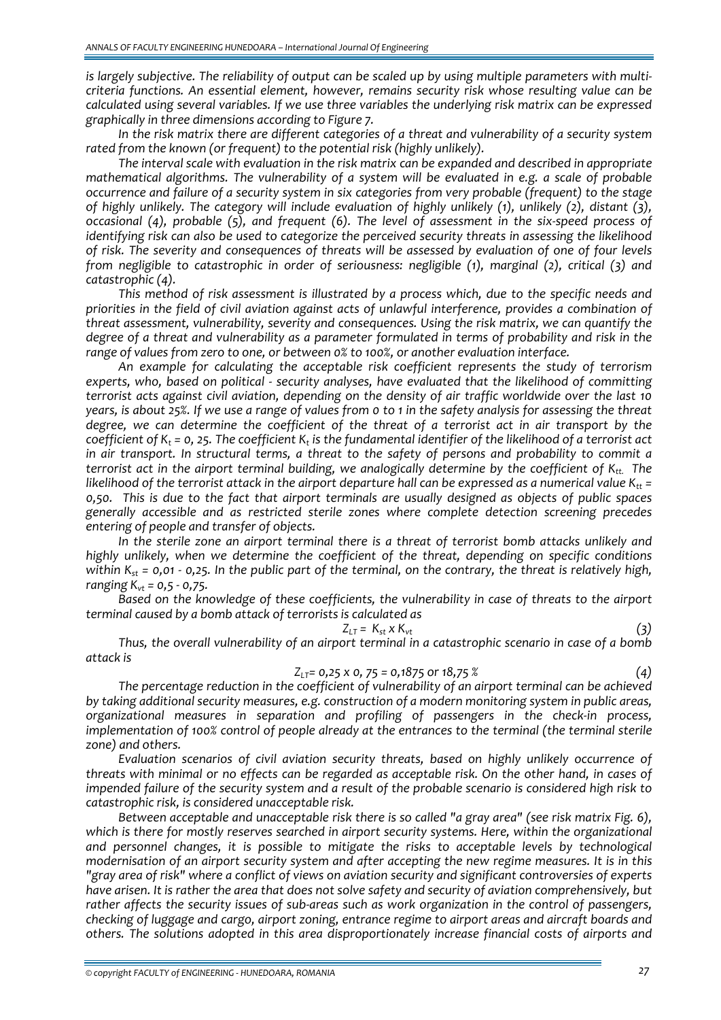is largely subjective. The reliability of output can be scaled up by using multiple parameters with multi*criteria functions. An essential element, however, remains security risk whose resulting value can be calculated using several variables. If we use three variables the underlying risk matrix can be expressed graphically in three dimensions according to Figure 7.* 

*In the risk matrix there are different categories of a threat and vulnerability of a security system rated from the known (or frequent) to the potential risk (highly unlikely).*

*The interval scale with evaluation in the risk matrix can be expanded and described in appropriate mathematical algorithms. The vulnerability of a system will be evaluated in e.g. a scale of probable occurrence and failure of a security system in six categories from very probable (frequent) to the stage of highly unlikely. The category will include evaluation of highly unlikely (1), unlikely (2), distant (3),* occasional (4), probable (5), and frequent (6). The level of assessment in the six-speed process of *identifying risk can also be used to categorize the perceived security threats in assessing the likelihood* of risk. The severity and consequences of threats will be assessed by evaluation of one of four levels *from negligible to catastrophic in order of seriousness: negligible (1), marginal (2), critical (3) and catastrophic (4).*

*This method of risk assessment is illustrated by a process which, due to the specific needs and priorities in the field of civil aviation against acts of unlawful interference, provides a combination of threat assessment, vulnerability, severity and consequences. Using the risk matrix, we can quantify the* degree of a threat and vulnerability as a parameter formulated in terms of probability and risk in the *range of values from zero to one, or between 0% to 100%, or another evaluation interface.*

*An example for calculating the acceptable risk coefficient represents the study of terrorism experts, who, based on political ‐ security analyses, have evaluated that the likelihood of committing terrorist acts against civil aviation, depending on the density of air traffic worldwide over the last 10* years, is about 25%. If we use a range of values from 0 to 1 in the safety analysis for assessing the threat *degree, we can determine the coefficient of the threat of a terrorist act in air transport by the* coefficient of  $K_t$  = 0, 25. The coefficient  $K_t$  is the fundamental identifier of the likelihood of a terrorist act in air transport. In structural terms, a threat to the safety of persons and probability to commit a *terrorist act in the airport terminal building, we analogically determine by the coefficient of Ktt. The* likelihood of the terrorist attack in the airport departure hall can be expressed as a numerical value  $K_{tt}$  = 0,50. This is due to the fact that airport terminals are usually designed as objects of public spaces *generally accessible and as restricted sterile zones where complete detection screening precedes entering of people and transfer of objects.*

*In the sterile zone an airport terminal there is a threat of terrorist bomb attacks unlikely and highly unlikely, when we determine the coefficient of the threat, depending on specific conditions* within  $K_{st}$  = 0,01 - 0,25. In the public part of the terminal, on the contrary, the threat is relatively high, *ranging Kvt = 0,5 ‐ 0,75.*

*Based on the knowledge of these coefficients, the vulnerability in case of threats to the airport terminal caused by a bomb attack of terrorists is calculated as*

$$
Z_{LT} = K_{st} \times K_{vt} \tag{3}
$$

*Thus, the overall vulnerability of an airport terminal in a catastrophic scenario in case of a bomb attack is* 

$$
Z_{LT} = 0.25 \times 0.75 = 0.1875 \text{ or } 18.75 \text{ } \%
$$
 (4)

*The percentage reduction in the coefficient of vulnerability of an airport terminal can be achieved by taking additional security measures, e.g. construction of a modern monitoring system in public areas, organizational measures in separation and profiling of passengers in the check‐in process, implementation of 100% control of people already at the entrances to the terminal (the terminal sterile zone) and others.*

*Evaluation scenarios of civil aviation security threats, based on highly unlikely occurrence of* threats with minimal or no effects can be regarded as acceptable risk. On the other hand, in cases of impended failure of the security system and a result of the probable scenario is considered high risk to *catastrophic risk, is considered unacceptable risk.*

*Between acceptable and unacceptable risk there is so called "a gray area" (see risk matrix Fig. 6), which is there for mostly reserves searched in airport security systems. Here, within the organizational and personnel changes, it is possible to mitigate the risks to acceptable levels by technological modernisation of an airport security system and after accepting the new regime measures. It is in this* "gray area of risk" where a conflict of views on aviation security and significant controversies of experts have arisen. It is rather the area that does not solve safety and security of aviation comprehensively, but rather affects the security issues of sub-areas such as work organization in the control of passengers, *checking of luggage and cargo, airport zoning, entrance regime to airport areas and aircraft boards and others. The solutions adopted in this area disproportionately increase financial costs of airports and*